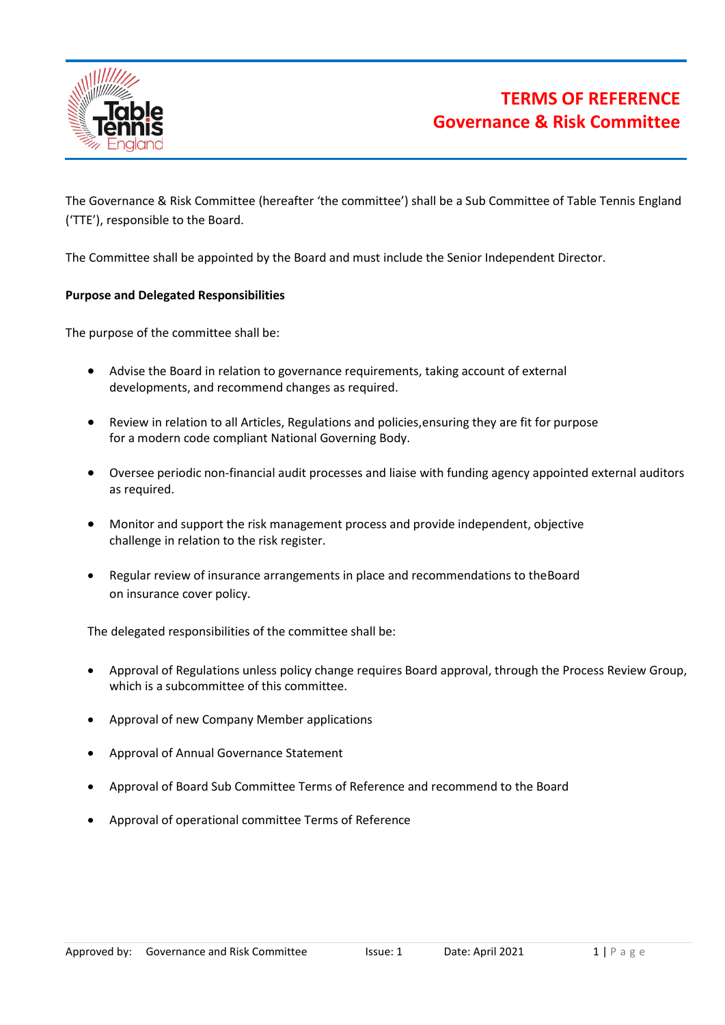

The Governance & Risk Committee (hereafter 'the committee') shall be a Sub Committee of Table Tennis England ('TTE'), responsible to the Board.

The Committee shall be appointed by the Board and must include the Senior Independent Director.

### **Purpose and Delegated Responsibilities**

The purpose of the committee shall be:

- Advise the Board in relation to governance requirements, taking account of external developments, and recommend changes as required.
- Review in relation to all Articles, Regulations and policies,ensuring they are fit for purpose for a modern code compliant National Governing Body.
- Oversee periodic non-financial audit processes and liaise with funding agency appointed external auditors as required.
- Monitor and support the risk management process and provide independent, objective challenge in relation to the risk register.
- Regular review of insurance arrangements in place and recommendations to the Board on insurance cover policy.

The delegated responsibilities of the committee shall be:

- Approval of Regulations unless policy change requires Board approval, through the Process Review Group, which is a subcommittee of this committee.
- Approval of new Company Member applications
- Approval of Annual Governance Statement
- Approval of Board Sub Committee Terms of Reference and recommend to the Board
- Approval of operational committee Terms of Reference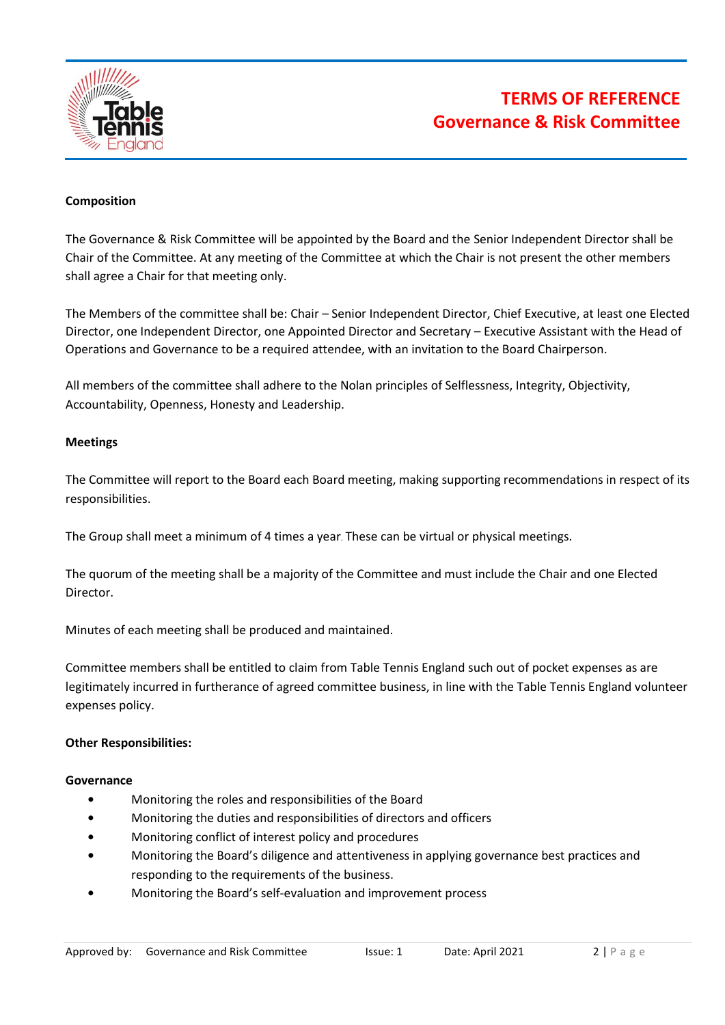

# **TERMS OF REFERENCE Governance & Risk Committee**

## **Composition**

The Governance & Risk Committee will be appointed by the Board and the Senior Independent Director shall be Chair of the Committee. At any meeting of the Committee at which the Chair is not present the other members shall agree a Chair for that meeting only.

The Members of the committee shall be: Chair – Senior Independent Director, Chief Executive, at least one Elected Director, one Independent Director, one Appointed Director and Secretary – Executive Assistant with the Head of Operations and Governance to be a required attendee, with an invitation to the Board Chairperson.

All members of the committee shall adhere to the Nolan principles of Selflessness, Integrity, Objectivity, Accountability, Openness, Honesty and Leadership.

#### **Meetings**

The Committee will report to the Board each Board meeting, making supporting recommendations in respect of its responsibilities.

The Group shall meet a minimum of 4 times a year. These can be virtual or physical meetings.

The quorum of the meeting shall be a majority of the Committee and must include the Chair and one Elected Director.

Minutes of each meeting shall be produced and maintained.

Committee members shall be entitled to claim from Table Tennis England such out of pocket expenses as are legitimately incurred in furtherance of agreed committee business, in line with the Table Tennis England volunteer expenses policy.

#### **Other Responsibilities:**

#### **Governance**

- **•** Monitoring the roles and responsibilities of the Board
- **•** Monitoring the duties and responsibilities of directors and officers
- **•** Monitoring conflict of interest policy and procedures
- **•** Monitoring the Board's diligence and attentiveness in applying governance best practices and responding to the requirements of the business.
- **•** Monitoring the Board's self-evaluation and improvement process